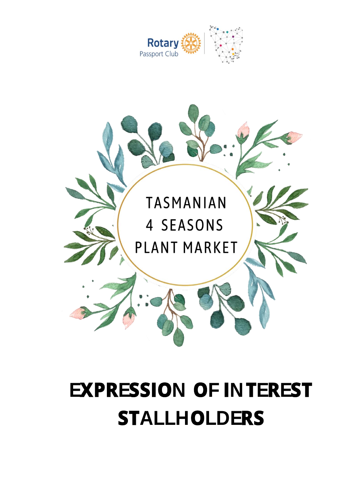



# **EXPRESSION OF INTEREST STALLHOLDERS**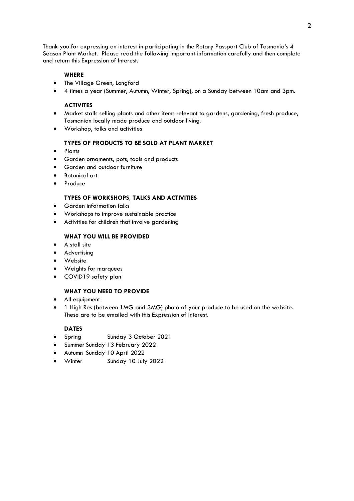Thank you for expressing an interest in participating in the Rotary Passport Club of Tasmania's 4 Season Plant Market. Please read the following important information carefully and then complete and return this Expression of Interest.

### **WHERE**

- The Village Green, Longford
- 4 times a year (Summer, Autumn, Winter, Spring), on a Sunday between 10am and 3pm.

### **ACTIVITES**

- Market stalls selling plants and other items relevant to gardens, gardening, fresh produce, Tasmanian locally made produce and outdoor living.
- Workshop, talks and activities

#### **TYPES OF PRODUCTS TO BE SOLD AT PLANT MARKET**

- Plants
- Garden ornaments, pots, tools and products
- Garden and outdoor furniture
- Botanical art
- **Produce**

### **TYPES OF WORKSHOPS, TALKS AND ACTIVITIES**

- Garden information talks
- Workshops to improve sustainable practice
- Activities for children that involve gardening

### **WHAT YOU WILL BE PROVIDED**

- A stall site
- Advertising
- Website
- Weights for marquees
- COVID19 safety plan

### **WHAT YOU NEED TO PROVIDE**

- All equipment
- 1 High Res (between 1MG and 3MG) photo of your produce to be used on the website. These are to be emailed with this Expression of Interest.

### **DATES**

- Spring Sunday 3 October 2021
- Summer Sunday 13 February 2022
- Autumn Sunday 10 April 2022
- Winter Sunday 10 July 2022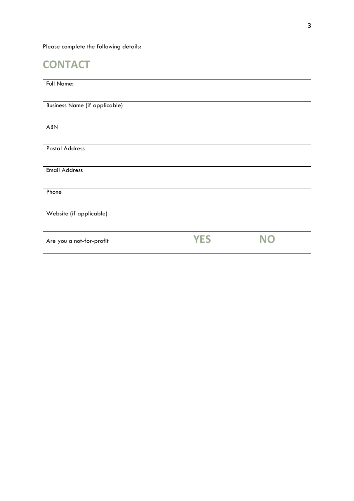Please complete the following details:

# **CONTACT**

| Full Name:                           |            |           |
|--------------------------------------|------------|-----------|
| <b>Business Name (if applicable)</b> |            |           |
| <b>ABN</b>                           |            |           |
| <b>Postal Address</b>                |            |           |
| <b>Email Address</b>                 |            |           |
| Phone                                |            |           |
| Website (if applicable)              |            |           |
| Are you a not-for-profit             | <b>YES</b> | <b>NO</b> |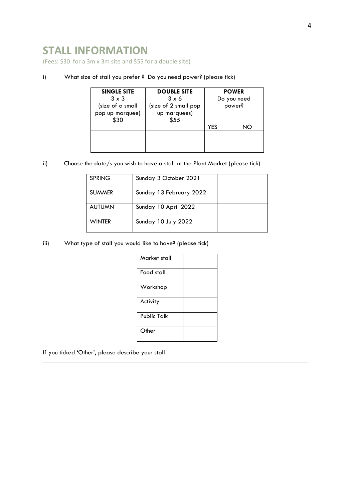## **STALL INFORMATION**

(Fees: \$30 for a 3m x 3m site and \$55 for a double site)

### i) What size of stall you prefer ? Do you need power? (please tick)

| <b>SINGLE SITE</b> | <b>DOUBLE SITE</b>   | <b>POWER</b> |    |
|--------------------|----------------------|--------------|----|
| $3 \times 3$       | $3 \times 6$         | Do you need  |    |
| (size of a small   | (size of 2 small pop | power?       |    |
| pop up marquee)    | up marquees)         |              |    |
| \$30               | \$55                 |              |    |
|                    |                      | <b>YES</b>   | NO |
|                    |                      |              |    |
|                    |                      |              |    |
|                    |                      |              |    |

ii) Choose the date/s you wish to have a stall at the Plant Market (please tick)

| <b>SPRING</b> | Sunday 3 October 2021   |  |
|---------------|-------------------------|--|
| <b>SUMMER</b> | Sunday 13 February 2022 |  |
| <b>AUTUMN</b> | Sunday 10 April 2022    |  |
| <b>WINTER</b> | Sunday 10 July 2022     |  |

iii) What type of stall you would like to have? (please tick)

| Market stall |  |
|--------------|--|
| Food stall   |  |
| Workshop     |  |
| Activity     |  |
| Public Talk  |  |
| Other        |  |

\_\_\_\_\_\_\_\_\_\_\_\_\_\_\_\_\_\_\_\_\_\_\_\_\_\_\_\_\_\_\_\_\_\_\_\_\_\_\_\_\_\_\_\_\_\_\_\_\_\_\_\_\_\_\_\_\_\_\_\_\_\_\_\_\_\_\_\_\_\_\_\_\_\_\_\_\_\_\_\_\_

If you ticked 'Other', please describe your stall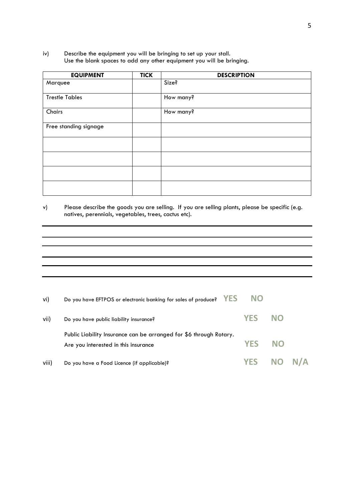### iv) Describe the equipment you will be bringing to set up your stall. Use the blank spaces to add any other equipment you will be bringing.

| <b>EQUIPMENT</b>      | <b>TICK</b> | <b>DESCRIPTION</b> |
|-----------------------|-------------|--------------------|
| Marquee               |             | Size?              |
| <b>Trestle Tables</b> |             | How many?          |
| Chairs                |             | How many?          |
| Free standing signage |             |                    |
|                       |             |                    |
|                       |             |                    |
|                       |             |                    |
|                       |             |                    |

### v) Please describe the goods you are selling. If you are selling plants, please be specific (e.g. natives, perennials, vegetables, trees, cactus etc).

| vi)   | <b>YES</b><br>Do you have EFTPOS or electronic banking for sales of produce?                               | <b>NO</b>  |           |        |
|-------|------------------------------------------------------------------------------------------------------------|------------|-----------|--------|
| vii)  | Do you have public liability insurance?                                                                    | <b>YES</b> | <b>NO</b> |        |
|       | Public Liability Insurance can be arranged for \$6 through Rotary.<br>Are you interested in this insurance | <b>YFS</b> | <b>NO</b> |        |
| viii) | Do you have a Food Licence (if applicable)?                                                                | <b>YES</b> |           | NO N/A |